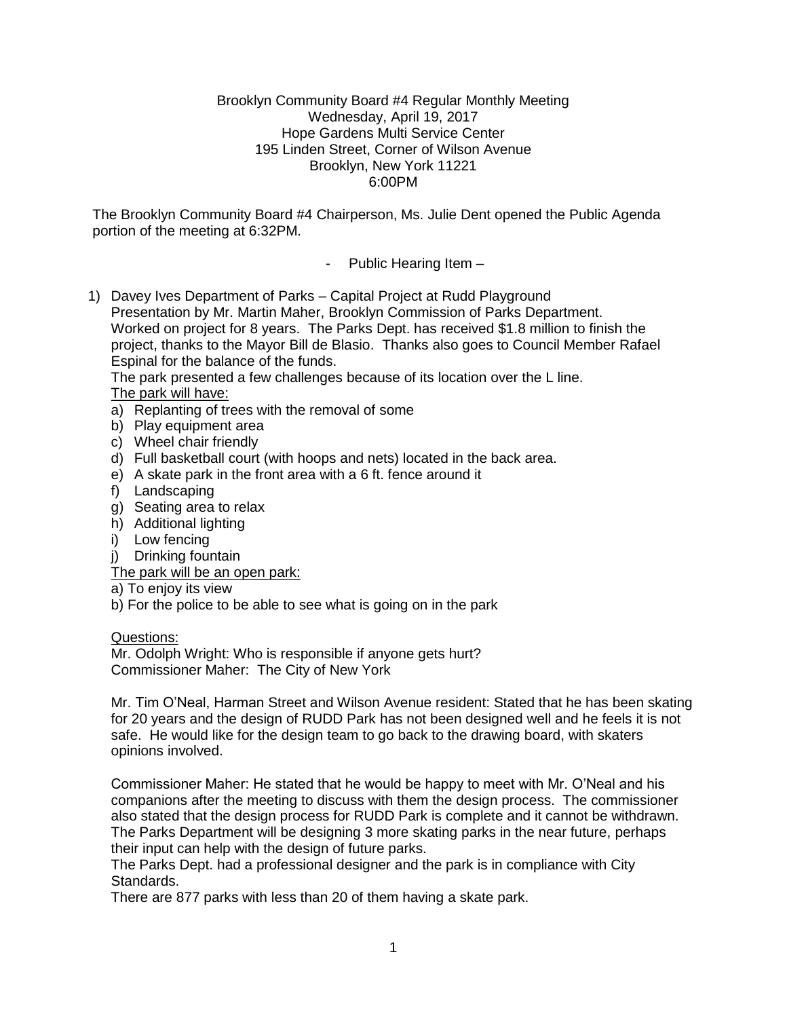#### Brooklyn Community Board #4 Regular Monthly Meeting Wednesday, April 19, 2017 Hope Gardens Multi Service Center 195 Linden Street, Corner of Wilson Avenue Brooklyn, New York 11221 6:00PM

The Brooklyn Community Board #4 Chairperson, Ms. Julie Dent opened the Public Agenda portion of the meeting at 6:32PM.

- Public Hearing Item –

1) Davey Ives Department of Parks – Capital Project at Rudd Playground Presentation by Mr. Martin Maher, Brooklyn Commission of Parks Department. Worked on project for 8 years. The Parks Dept. has received \$1.8 million to finish the project, thanks to the Mayor Bill de Blasio. Thanks also goes to Council Member Rafael Espinal for the balance of the funds.

The park presented a few challenges because of its location over the L line.

# The park will have:

- a) Replanting of trees with the removal of some
- b) Play equipment area
- c) Wheel chair friendly
- d) Full basketball court (with hoops and nets) located in the back area.
- e) A skate park in the front area with a 6 ft. fence around it
- f) Landscaping
- g) Seating area to relax
- h) Additional lighting
- i) Low fencing
- j) Drinking fountain

## The park will be an open park:

- a) To enjoy its view
- b) For the police to be able to see what is going on in the park

Questions:

Mr. Odolph Wright: Who is responsible if anyone gets hurt? Commissioner Maher: The City of New York

Mr. Tim O'Neal, Harman Street and Wilson Avenue resident: Stated that he has been skating for 20 years and the design of RUDD Park has not been designed well and he feels it is not safe. He would like for the design team to go back to the drawing board, with skaters opinions involved.

Commissioner Maher: He stated that he would be happy to meet with Mr. O'Neal and his companions after the meeting to discuss with them the design process. The commissioner also stated that the design process for RUDD Park is complete and it cannot be withdrawn. The Parks Department will be designing 3 more skating parks in the near future, perhaps their input can help with the design of future parks.

The Parks Dept. had a professional designer and the park is in compliance with City Standards.

There are 877 parks with less than 20 of them having a skate park.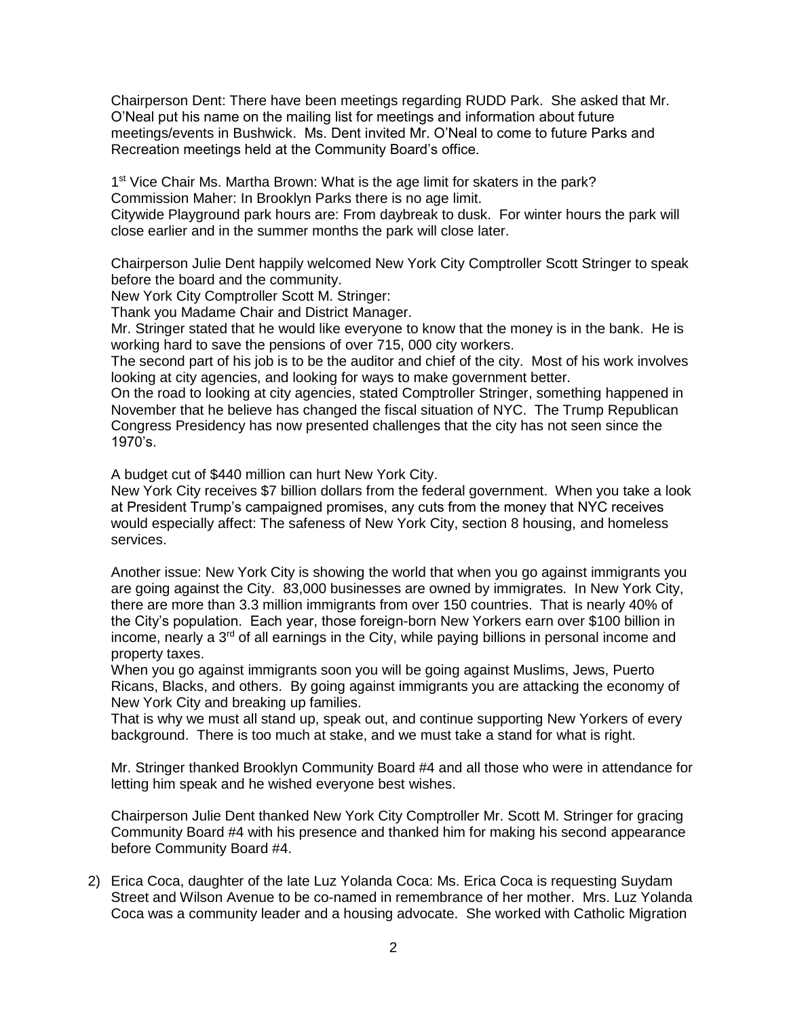Chairperson Dent: There have been meetings regarding RUDD Park. She asked that Mr. O'Neal put his name on the mailing list for meetings and information about future meetings/events in Bushwick. Ms. Dent invited Mr. O'Neal to come to future Parks and Recreation meetings held at the Community Board's office.

1<sup>st</sup> Vice Chair Ms. Martha Brown: What is the age limit for skaters in the park?

Commission Maher: In Brooklyn Parks there is no age limit.

Citywide Playground park hours are: From daybreak to dusk. For winter hours the park will close earlier and in the summer months the park will close later.

Chairperson Julie Dent happily welcomed New York City Comptroller Scott Stringer to speak before the board and the community.

New York City Comptroller Scott M. Stringer:

Thank you Madame Chair and District Manager.

Mr. Stringer stated that he would like everyone to know that the money is in the bank. He is working hard to save the pensions of over 715, 000 city workers.

The second part of his job is to be the auditor and chief of the city. Most of his work involves looking at city agencies, and looking for ways to make government better.

On the road to looking at city agencies, stated Comptroller Stringer, something happened in November that he believe has changed the fiscal situation of NYC. The Trump Republican Congress Presidency has now presented challenges that the city has not seen since the 1970's.

A budget cut of \$440 million can hurt New York City.

New York City receives \$7 billion dollars from the federal government. When you take a look at President Trump's campaigned promises, any cuts from the money that NYC receives would especially affect: The safeness of New York City, section 8 housing, and homeless services.

Another issue: New York City is showing the world that when you go against immigrants you are going against the City. 83,000 businesses are owned by immigrates. In New York City, there are more than 3.3 million immigrants from over 150 countries. That is nearly 40% of the City's population. Each year, those foreign-born New Yorkers earn over \$100 billion in income, nearly a 3<sup>rd</sup> of all earnings in the City, while paying billions in personal income and property taxes.

When you go against immigrants soon you will be going against Muslims, Jews, Puerto Ricans, Blacks, and others. By going against immigrants you are attacking the economy of New York City and breaking up families.

That is why we must all stand up, speak out, and continue supporting New Yorkers of every background. There is too much at stake, and we must take a stand for what is right.

Mr. Stringer thanked Brooklyn Community Board #4 and all those who were in attendance for letting him speak and he wished everyone best wishes.

Chairperson Julie Dent thanked New York City Comptroller Mr. Scott M. Stringer for gracing Community Board #4 with his presence and thanked him for making his second appearance before Community Board #4.

2) Erica Coca, daughter of the late Luz Yolanda Coca: Ms. Erica Coca is requesting Suydam Street and Wilson Avenue to be co-named in remembrance of her mother. Mrs. Luz Yolanda Coca was a community leader and a housing advocate. She worked with Catholic Migration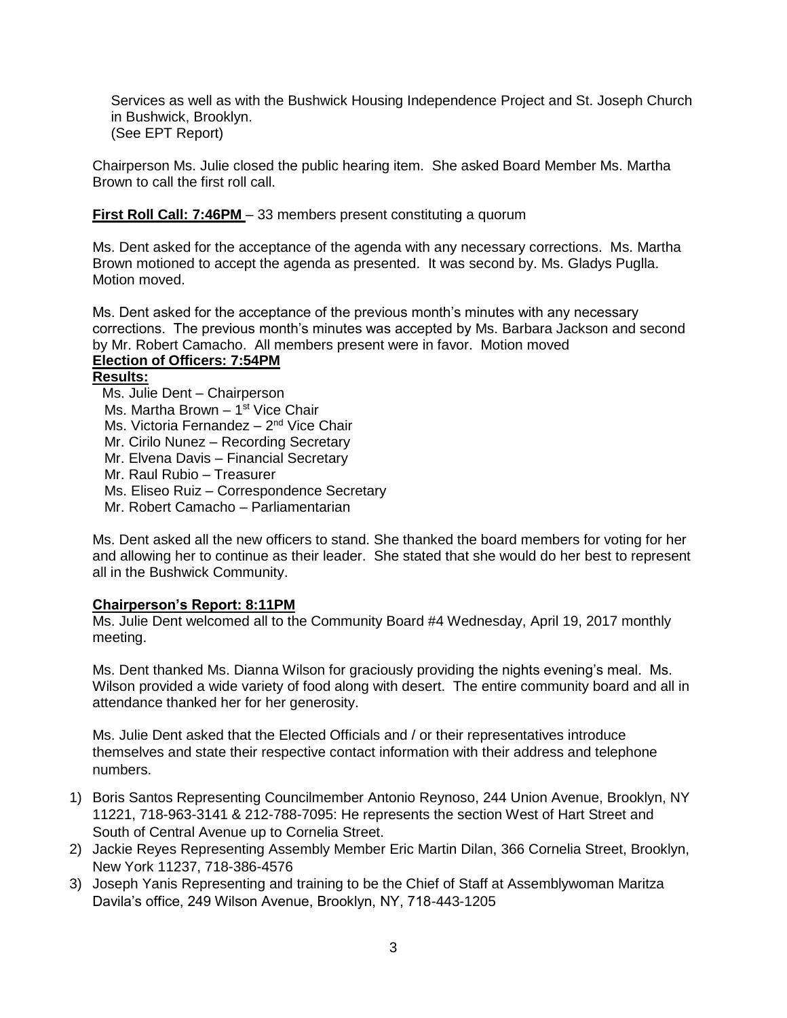Services as well as with the Bushwick Housing Independence Project and St. Joseph Church in Bushwick, Brooklyn. (See EPT Report)

Chairperson Ms. Julie closed the public hearing item. She asked Board Member Ms. Martha Brown to call the first roll call.

**First Roll Call: 7:46PM** – 33 members present constituting a quorum

Ms. Dent asked for the acceptance of the agenda with any necessary corrections. Ms. Martha Brown motioned to accept the agenda as presented. It was second by. Ms. Gladys Puglla. Motion moved.

Ms. Dent asked for the acceptance of the previous month's minutes with any necessary corrections. The previous month's minutes was accepted by Ms. Barbara Jackson and second by Mr. Robert Camacho. All members present were in favor. Motion moved **Election of Officers: 7:54PM**

#### **Results:**

 Ms. Julie Dent – Chairperson Ms. Martha Brown - 1<sup>st</sup> Vice Chair Ms. Victoria Fernandez - 2<sup>nd</sup> Vice Chair Mr. Cirilo Nunez – Recording Secretary Mr. Elvena Davis – Financial Secretary Mr. Raul Rubio – Treasurer Ms. Eliseo Ruiz – Correspondence Secretary Mr. Robert Camacho – Parliamentarian

Ms. Dent asked all the new officers to stand. She thanked the board members for voting for her and allowing her to continue as their leader. She stated that she would do her best to represent all in the Bushwick Community.

## **Chairperson's Report: 8:11PM**

Ms. Julie Dent welcomed all to the Community Board #4 Wednesday, April 19, 2017 monthly meeting.

Ms. Dent thanked Ms. Dianna Wilson for graciously providing the nights evening's meal. Ms. Wilson provided a wide variety of food along with desert. The entire community board and all in attendance thanked her for her generosity.

Ms. Julie Dent asked that the Elected Officials and / or their representatives introduce themselves and state their respective contact information with their address and telephone numbers.

- 1) Boris Santos Representing Councilmember Antonio Reynoso, 244 Union Avenue, Brooklyn, NY 11221, 718-963-3141 & 212-788-7095: He represents the section West of Hart Street and South of Central Avenue up to Cornelia Street.
- 2) Jackie Reyes Representing Assembly Member Eric Martin Dilan, 366 Cornelia Street, Brooklyn, New York 11237, 718-386-4576
- 3) Joseph Yanis Representing and training to be the Chief of Staff at Assemblywoman Maritza Davila's office, 249 Wilson Avenue, Brooklyn, NY, 718-443-1205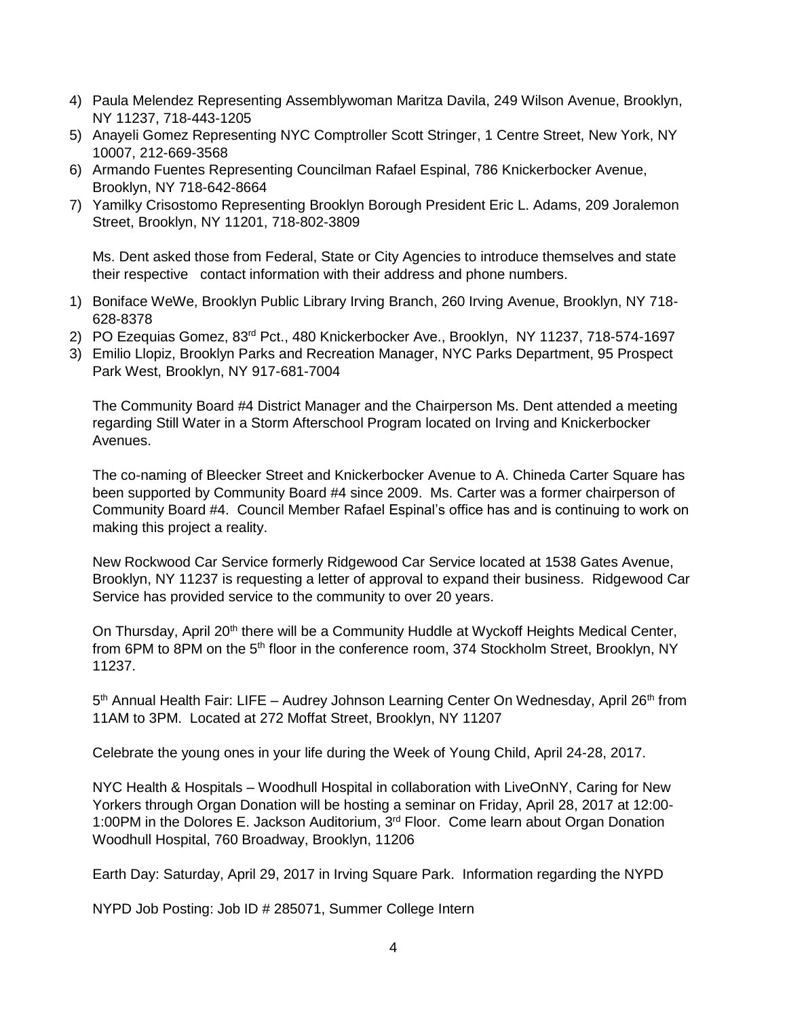- 4) Paula Melendez Representing Assemblywoman Maritza Davila, 249 Wilson Avenue, Brooklyn, NY 11237, 718-443-1205
- 5) Anayeli Gomez Representing NYC Comptroller Scott Stringer, 1 Centre Street, New York, NY 10007, 212-669-3568
- 6) Armando Fuentes Representing Councilman Rafael Espinal, 786 Knickerbocker Avenue, Brooklyn, NY 718-642-8664
- 7) Yamilky Crisostomo Representing Brooklyn Borough President Eric L. Adams, 209 Joralemon Street, Brooklyn, NY 11201, 718-802-3809

Ms. Dent asked those from Federal, State or City Agencies to introduce themselves and state their respective contact information with their address and phone numbers.

- 1) Boniface WeWe, Brooklyn Public Library Irving Branch, 260 Irving Avenue, Brooklyn, NY 718- 628-8378
- 2) PO Ezequias Gomez, 83rd Pct., 480 Knickerbocker Ave., Brooklyn, NY 11237, 718-574-1697
- 3) Emilio Llopiz, Brooklyn Parks and Recreation Manager, NYC Parks Department, 95 Prospect Park West, Brooklyn, NY 917-681-7004

The Community Board #4 District Manager and the Chairperson Ms. Dent attended a meeting regarding Still Water in a Storm Afterschool Program located on Irving and Knickerbocker Avenues.

The co-naming of Bleecker Street and Knickerbocker Avenue to A. Chineda Carter Square has been supported by Community Board #4 since 2009. Ms. Carter was a former chairperson of Community Board #4. Council Member Rafael Espinal's office has and is continuing to work on making this project a reality.

New Rockwood Car Service formerly Ridgewood Car Service located at 1538 Gates Avenue, Brooklyn, NY 11237 is requesting a letter of approval to expand their business. Ridgewood Car Service has provided service to the community to over 20 years.

On Thursday, April 20<sup>th</sup> there will be a Community Huddle at Wyckoff Heights Medical Center, from 6PM to 8PM on the 5<sup>th</sup> floor in the conference room, 374 Stockholm Street, Brooklyn, NY 11237.

5<sup>th</sup> Annual Health Fair: LIFE – Audrey Johnson Learning Center On Wednesday, April 26<sup>th</sup> from 11AM to 3PM. Located at 272 Moffat Street, Brooklyn, NY 11207

Celebrate the young ones in your life during the Week of Young Child, April 24-28, 2017.

NYC Health & Hospitals – Woodhull Hospital in collaboration with LiveOnNY, Caring for New Yorkers through Organ Donation will be hosting a seminar on Friday, April 28, 2017 at 12:00- 1:00PM in the Dolores E. Jackson Auditorium, 3<sup>rd</sup> Floor. Come learn about Organ Donation Woodhull Hospital, 760 Broadway, Brooklyn, 11206

Earth Day: Saturday, April 29, 2017 in Irving Square Park. Information regarding the NYPD

NYPD Job Posting: Job ID # 285071, Summer College Intern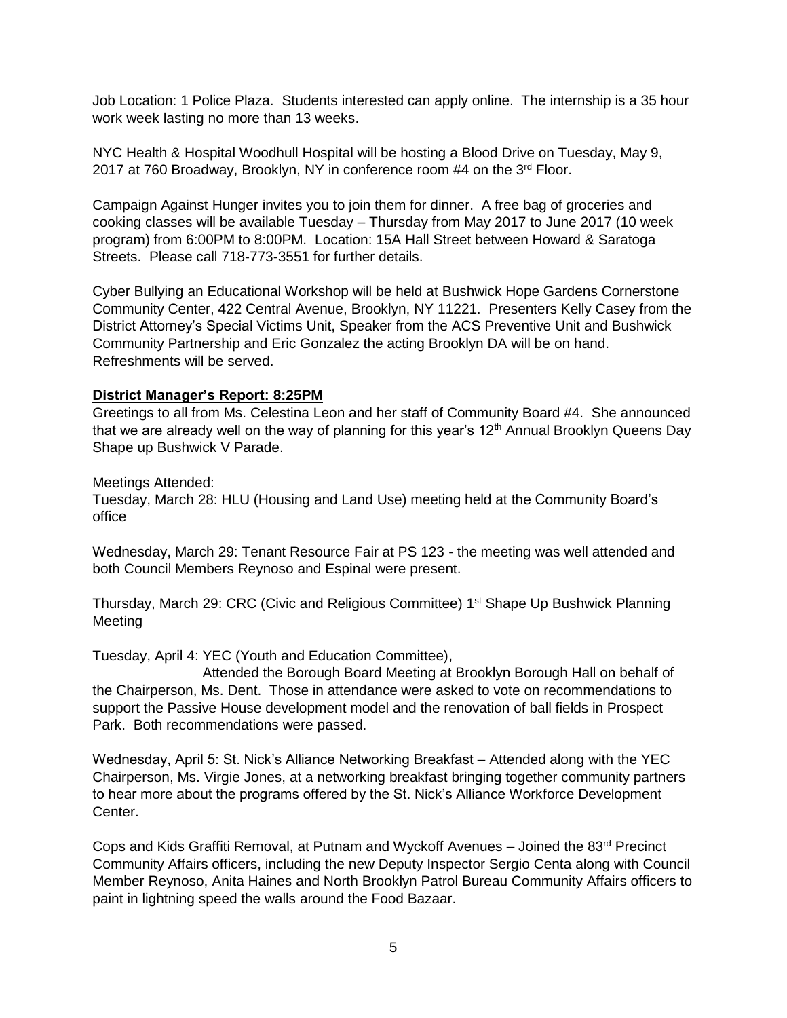Job Location: 1 Police Plaza. Students interested can apply online. The internship is a 35 hour work week lasting no more than 13 weeks.

NYC Health & Hospital Woodhull Hospital will be hosting a Blood Drive on Tuesday, May 9, 2017 at 760 Broadway, Brooklyn, NY in conference room #4 on the 3rd Floor.

Campaign Against Hunger invites you to join them for dinner. A free bag of groceries and cooking classes will be available Tuesday – Thursday from May 2017 to June 2017 (10 week program) from 6:00PM to 8:00PM. Location: 15A Hall Street between Howard & Saratoga Streets. Please call 718-773-3551 for further details.

Cyber Bullying an Educational Workshop will be held at Bushwick Hope Gardens Cornerstone Community Center, 422 Central Avenue, Brooklyn, NY 11221. Presenters Kelly Casey from the District Attorney's Special Victims Unit, Speaker from the ACS Preventive Unit and Bushwick Community Partnership and Eric Gonzalez the acting Brooklyn DA will be on hand. Refreshments will be served.

#### **District Manager's Report: 8:25PM**

Greetings to all from Ms. Celestina Leon and her staff of Community Board #4. She announced that we are already well on the way of planning for this year's 12<sup>th</sup> Annual Brooklyn Queens Day Shape up Bushwick V Parade.

Meetings Attended:

Tuesday, March 28: HLU (Housing and Land Use) meeting held at the Community Board's office

Wednesday, March 29: Tenant Resource Fair at PS 123 - the meeting was well attended and both Council Members Reynoso and Espinal were present.

Thursday, March 29: CRC (Civic and Religious Committee) 1<sup>st</sup> Shape Up Bushwick Planning Meeting

Tuesday, April 4: YEC (Youth and Education Committee),

 Attended the Borough Board Meeting at Brooklyn Borough Hall on behalf of the Chairperson, Ms. Dent. Those in attendance were asked to vote on recommendations to support the Passive House development model and the renovation of ball fields in Prospect Park. Both recommendations were passed.

Wednesday, April 5: St. Nick's Alliance Networking Breakfast – Attended along with the YEC Chairperson, Ms. Virgie Jones, at a networking breakfast bringing together community partners to hear more about the programs offered by the St. Nick's Alliance Workforce Development Center.

Cops and Kids Graffiti Removal, at Putnam and Wyckoff Avenues - Joined the 83<sup>rd</sup> Precinct Community Affairs officers, including the new Deputy Inspector Sergio Centa along with Council Member Reynoso, Anita Haines and North Brooklyn Patrol Bureau Community Affairs officers to paint in lightning speed the walls around the Food Bazaar.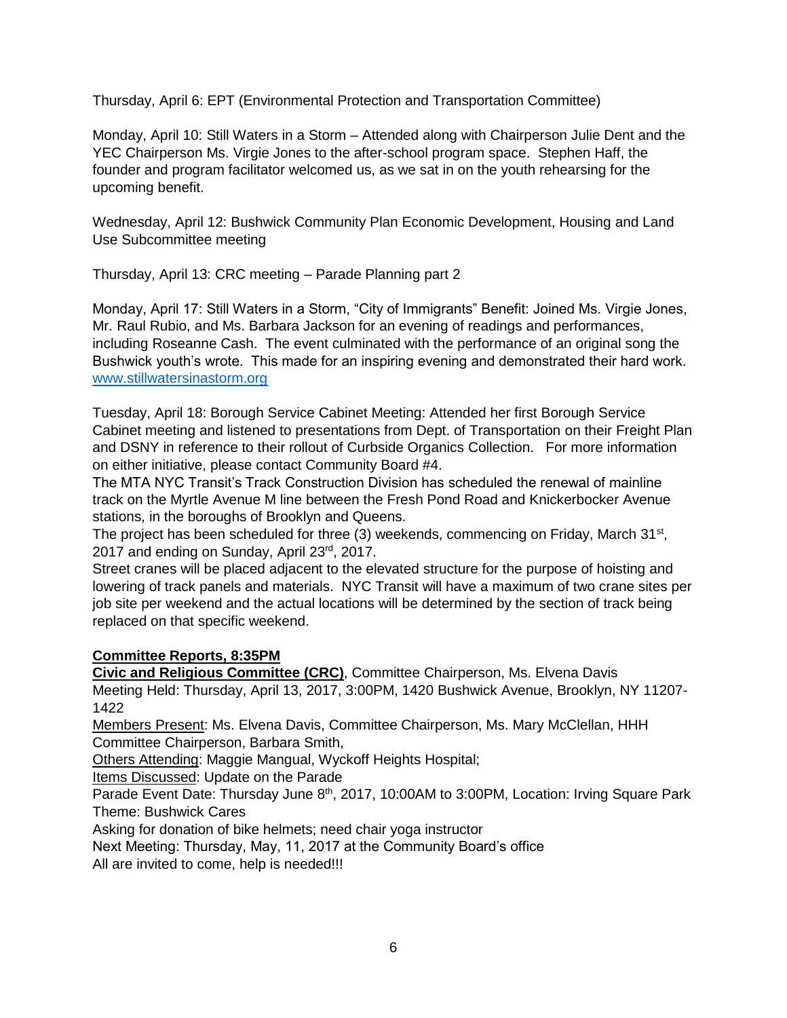Thursday, April 6: EPT (Environmental Protection and Transportation Committee)

Monday, April 10: Still Waters in a Storm – Attended along with Chairperson Julie Dent and the YEC Chairperson Ms. Virgie Jones to the after-school program space. Stephen Haff, the founder and program facilitator welcomed us, as we sat in on the youth rehearsing for the upcoming benefit.

Wednesday, April 12: Bushwick Community Plan Economic Development, Housing and Land Use Subcommittee meeting

Thursday, April 13: CRC meeting – Parade Planning part 2

Monday, April 17: Still Waters in a Storm, "City of Immigrants" Benefit: Joined Ms. Virgie Jones, Mr. Raul Rubio, and Ms. Barbara Jackson for an evening of readings and performances, including Roseanne Cash. The event culminated with the performance of an original song the Bushwick youth's wrote. This made for an inspiring evening and demonstrated their hard work. [www.stillwatersinastorm.org](http://www.stillwatersinastorm.org/)

Tuesday, April 18: Borough Service Cabinet Meeting: Attended her first Borough Service Cabinet meeting and listened to presentations from Dept. of Transportation on their Freight Plan and DSNY in reference to their rollout of Curbside Organics Collection. For more information on either initiative, please contact Community Board #4.

The MTA NYC Transit's Track Construction Division has scheduled the renewal of mainline track on the Myrtle Avenue M line between the Fresh Pond Road and Knickerbocker Avenue stations, in the boroughs of Brooklyn and Queens.

The project has been scheduled for three (3) weekends, commencing on Friday, March 31<sup>st</sup>, 2017 and ending on Sunday, April 23rd, 2017.

Street cranes will be placed adjacent to the elevated structure for the purpose of hoisting and lowering of track panels and materials. NYC Transit will have a maximum of two crane sites per job site per weekend and the actual locations will be determined by the section of track being replaced on that specific weekend.

# **Committee Reports, 8:35PM**

**Civic and Religious Committee (CRC)**, Committee Chairperson, Ms. Elvena Davis Meeting Held: Thursday, April 13, 2017, 3:00PM, 1420 Bushwick Avenue, Brooklyn, NY 11207- 1422

Members Present: Ms. Elvena Davis, Committee Chairperson, Ms. Mary McClellan, HHH Committee Chairperson, Barbara Smith,

Others Attending: Maggie Mangual, Wyckoff Heights Hospital;

Items Discussed: Update on the Parade

Parade Event Date: Thursday June 8<sup>th</sup>, 2017, 10:00AM to 3:00PM, Location: Irving Square Park Theme: Bushwick Cares

Asking for donation of bike helmets; need chair yoga instructor

Next Meeting: Thursday, May, 11, 2017 at the Community Board's office

All are invited to come, help is needed!!!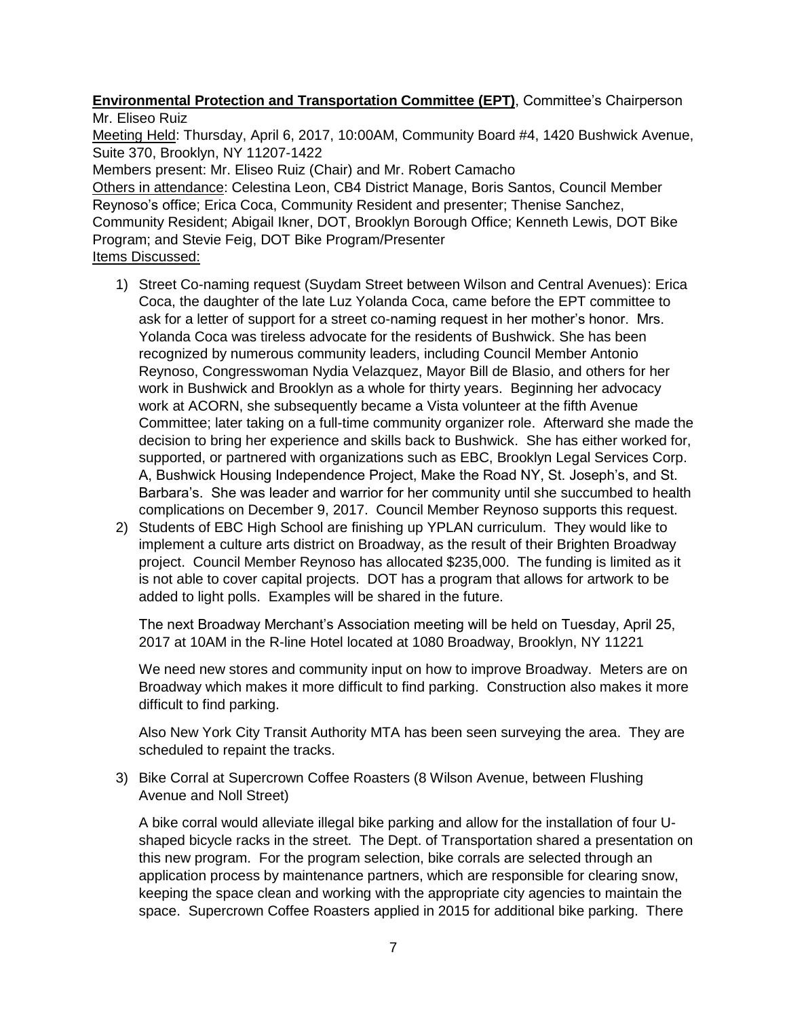## **Environmental Protection and Transportation Committee (EPT)**, Committee's Chairperson Mr. Eliseo Ruiz

Meeting Held: Thursday, April 6, 2017, 10:00AM, Community Board #4, 1420 Bushwick Avenue, Suite 370, Brooklyn, NY 11207-1422

Members present: Mr. Eliseo Ruiz (Chair) and Mr. Robert Camacho

Others in attendance: Celestina Leon, CB4 District Manage, Boris Santos, Council Member Reynoso's office; Erica Coca, Community Resident and presenter; Thenise Sanchez, Community Resident; Abigail Ikner, DOT, Brooklyn Borough Office; Kenneth Lewis, DOT Bike Program; and Stevie Feig, DOT Bike Program/Presenter Items Discussed:

- - 1) Street Co-naming request (Suydam Street between Wilson and Central Avenues): Erica Coca, the daughter of the late Luz Yolanda Coca, came before the EPT committee to ask for a letter of support for a street co-naming request in her mother's honor. Mrs. Yolanda Coca was tireless advocate for the residents of Bushwick. She has been recognized by numerous community leaders, including Council Member Antonio Reynoso, Congresswoman Nydia Velazquez, Mayor Bill de Blasio, and others for her work in Bushwick and Brooklyn as a whole for thirty years. Beginning her advocacy work at ACORN, she subsequently became a Vista volunteer at the fifth Avenue Committee; later taking on a full-time community organizer role. Afterward she made the decision to bring her experience and skills back to Bushwick. She has either worked for, supported, or partnered with organizations such as EBC, Brooklyn Legal Services Corp. A, Bushwick Housing Independence Project, Make the Road NY, St. Joseph's, and St. Barbara's. She was leader and warrior for her community until she succumbed to health complications on December 9, 2017. Council Member Reynoso supports this request.
	- 2) Students of EBC High School are finishing up YPLAN curriculum. They would like to implement a culture arts district on Broadway, as the result of their Brighten Broadway project. Council Member Reynoso has allocated \$235,000. The funding is limited as it is not able to cover capital projects. DOT has a program that allows for artwork to be added to light polls. Examples will be shared in the future.

The next Broadway Merchant's Association meeting will be held on Tuesday, April 25, 2017 at 10AM in the R-line Hotel located at 1080 Broadway, Brooklyn, NY 11221

We need new stores and community input on how to improve Broadway. Meters are on Broadway which makes it more difficult to find parking. Construction also makes it more difficult to find parking.

Also New York City Transit Authority MTA has been seen surveying the area. They are scheduled to repaint the tracks.

3) Bike Corral at Supercrown Coffee Roasters (8 Wilson Avenue, between Flushing Avenue and Noll Street)

A bike corral would alleviate illegal bike parking and allow for the installation of four Ushaped bicycle racks in the street. The Dept. of Transportation shared a presentation on this new program. For the program selection, bike corrals are selected through an application process by maintenance partners, which are responsible for clearing snow, keeping the space clean and working with the appropriate city agencies to maintain the space. Supercrown Coffee Roasters applied in 2015 for additional bike parking. There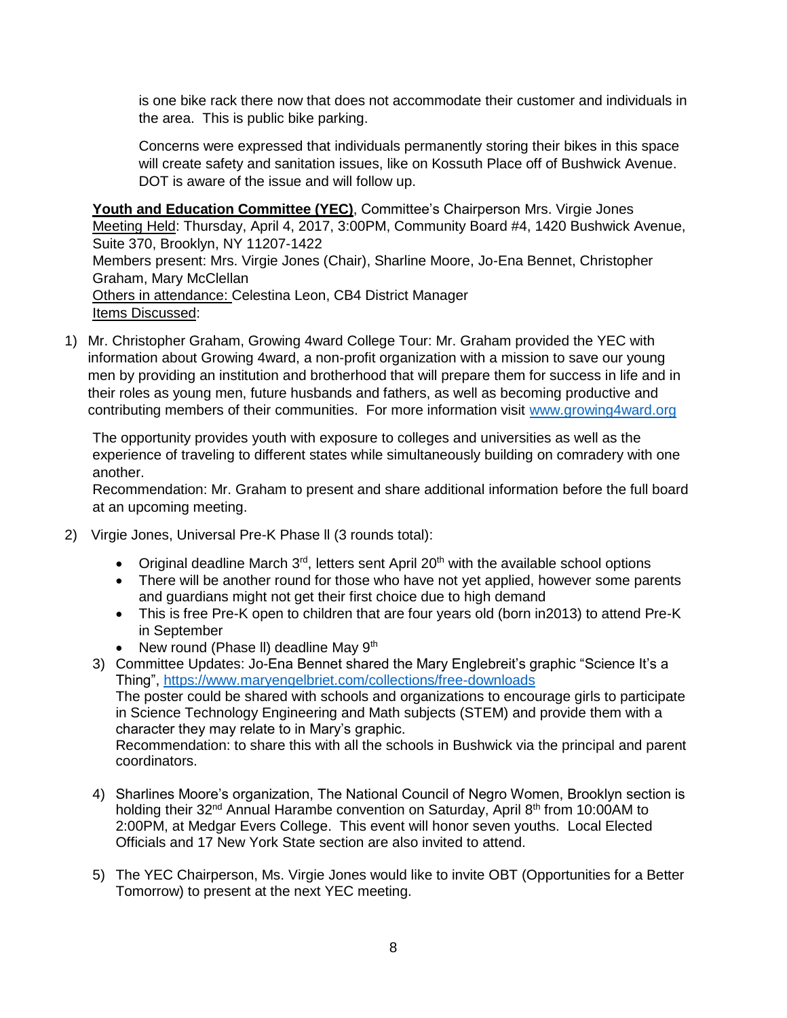is one bike rack there now that does not accommodate their customer and individuals in the area. This is public bike parking.

Concerns were expressed that individuals permanently storing their bikes in this space will create safety and sanitation issues, like on Kossuth Place off of Bushwick Avenue. DOT is aware of the issue and will follow up.

Youth and Education Committee (YEC), Committee's Chairperson Mrs. Virgie Jones Meeting Held: Thursday, April 4, 2017, 3:00PM, Community Board #4, 1420 Bushwick Avenue, Suite 370, Brooklyn, NY 11207-1422 Members present: Mrs. Virgie Jones (Chair), Sharline Moore, Jo-Ena Bennet, Christopher Graham, Mary McClellan Others in attendance: Celestina Leon, CB4 District Manager Items Discussed:

1) Mr. Christopher Graham, Growing 4ward College Tour: Mr. Graham provided the YEC with information about Growing 4ward, a non-profit organization with a mission to save our young men by providing an institution and brotherhood that will prepare them for success in life and in their roles as young men, future husbands and fathers, as well as becoming productive and contributing members of their communities. For more information visit [www.growing4ward.org](http://www.growing4ward.org/) 

The opportunity provides youth with exposure to colleges and universities as well as the experience of traveling to different states while simultaneously building on comradery with one another.

Recommendation: Mr. Graham to present and share additional information before the full board at an upcoming meeting.

- 2) Virgie Jones, Universal Pre-K Phase ll (3 rounds total):
	- Original deadline March  $3<sup>rd</sup>$ , letters sent April 20<sup>th</sup> with the available school options
	- There will be another round for those who have not yet applied, however some parents and guardians might not get their first choice due to high demand
	- This is free Pre-K open to children that are four years old (born in2013) to attend Pre-K in September
	- New round (Phase II) deadline May 9<sup>th</sup>
	- 3) Committee Updates: Jo-Ena Bennet shared the Mary Englebreit's graphic "Science It's a Thing",<https://www.maryengelbriet.com/collections/free-downloads> The poster could be shared with schools and organizations to encourage girls to participate in Science Technology Engineering and Math subjects (STEM) and provide them with a character they may relate to in Mary's graphic. Recommendation: to share this with all the schools in Bushwick via the principal and parent coordinators.
	- 4) Sharlines Moore's organization, The National Council of Negro Women, Brooklyn section is holding their 32<sup>nd</sup> Annual Harambe convention on Saturday, April 8<sup>th</sup> from 10:00AM to 2:00PM, at Medgar Evers College. This event will honor seven youths. Local Elected Officials and 17 New York State section are also invited to attend.
	- 5) The YEC Chairperson, Ms. Virgie Jones would like to invite OBT (Opportunities for a Better Tomorrow) to present at the next YEC meeting.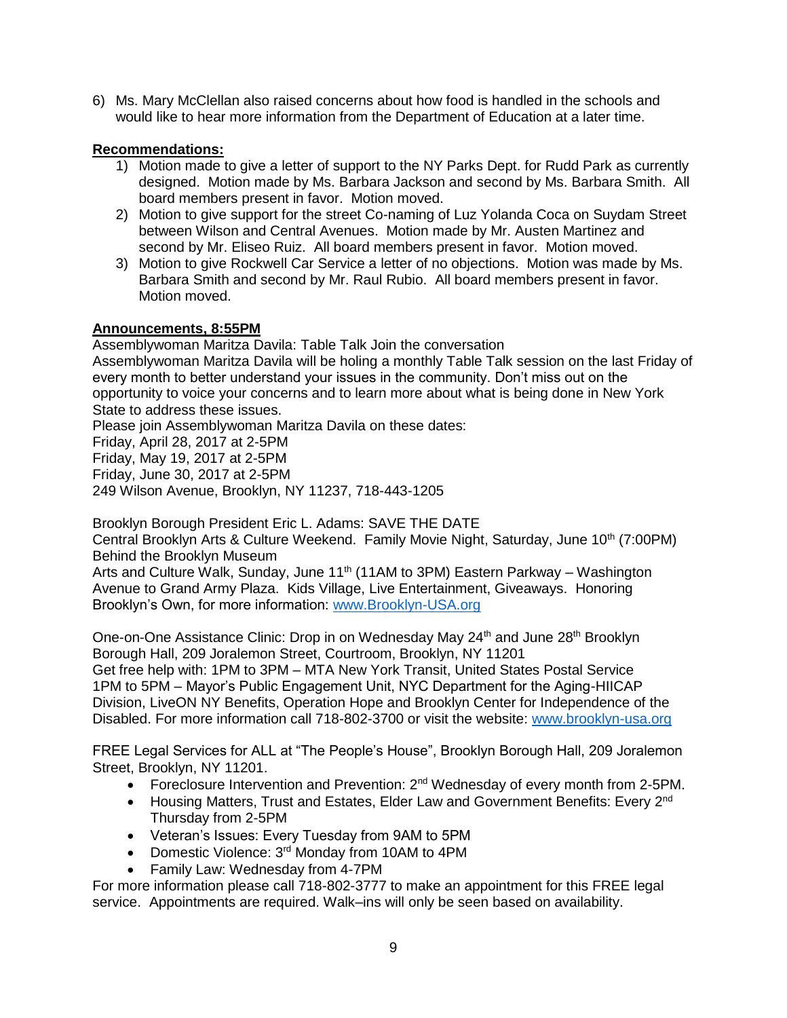6) Ms. Mary McClellan also raised concerns about how food is handled in the schools and would like to hear more information from the Department of Education at a later time.

### **Recommendations:**

- 1) Motion made to give a letter of support to the NY Parks Dept. for Rudd Park as currently designed. Motion made by Ms. Barbara Jackson and second by Ms. Barbara Smith. All board members present in favor. Motion moved.
- 2) Motion to give support for the street Co-naming of Luz Yolanda Coca on Suydam Street between Wilson and Central Avenues. Motion made by Mr. Austen Martinez and second by Mr. Eliseo Ruiz. All board members present in favor. Motion moved.
- 3) Motion to give Rockwell Car Service a letter of no objections. Motion was made by Ms. Barbara Smith and second by Mr. Raul Rubio. All board members present in favor. Motion moved.

## **Announcements, 8:55PM**

Assemblywoman Maritza Davila: Table Talk Join the conversation Assemblywoman Maritza Davila will be holing a monthly Table Talk session on the last Friday of every month to better understand your issues in the community. Don't miss out on the opportunity to voice your concerns and to learn more about what is being done in New York State to address these issues.

Please join Assemblywoman Maritza Davila on these dates:

Friday, April 28, 2017 at 2-5PM

Friday, May 19, 2017 at 2-5PM

Friday, June 30, 2017 at 2-5PM

249 Wilson Avenue, Brooklyn, NY 11237, 718-443-1205

Brooklyn Borough President Eric L. Adams: SAVE THE DATE

Central Brooklyn Arts & Culture Weekend. Family Movie Night, Saturday, June 10<sup>th</sup> (7:00PM) Behind the Brooklyn Museum

Arts and Culture Walk, Sunday, June 11<sup>th</sup> (11AM to 3PM) Eastern Parkway – Washington Avenue to Grand Army Plaza. Kids Village, Live Entertainment, Giveaways. Honoring Brooklyn's Own, for more information: [www.Brooklyn-USA.org](http://www.brooklyn-usa.org/)

One-on-One Assistance Clinic: Drop in on Wednesday May 24<sup>th</sup> and June 28<sup>th</sup> Brooklyn Borough Hall, 209 Joralemon Street, Courtroom, Brooklyn, NY 11201 Get free help with: 1PM to 3PM – MTA New York Transit, United States Postal Service 1PM to 5PM – Mayor's Public Engagement Unit, NYC Department for the Aging-HIICAP Division, LiveON NY Benefits, Operation Hope and Brooklyn Center for Independence of the Disabled. For more information call 718-802-3700 or visit the website: [www.brooklyn-usa.org](http://www.brooklyn-usa.org/)

FREE Legal Services for ALL at "The People's House", Brooklyn Borough Hall, 209 Joralemon Street, Brooklyn, NY 11201.

- Foreclosure Intervention and Prevention: 2<sup>nd</sup> Wednesday of every month from 2-5PM.
- Housing Matters, Trust and Estates, Elder Law and Government Benefits: Every 2<sup>nd</sup> Thursday from 2-5PM
- Veteran's Issues: Every Tuesday from 9AM to 5PM
- Domestic Violence: 3<sup>rd</sup> Monday from 10AM to 4PM
- Family Law: Wednesday from 4-7PM

For more information please call 718-802-3777 to make an appointment for this FREE legal service. Appointments are required. Walk–ins will only be seen based on availability.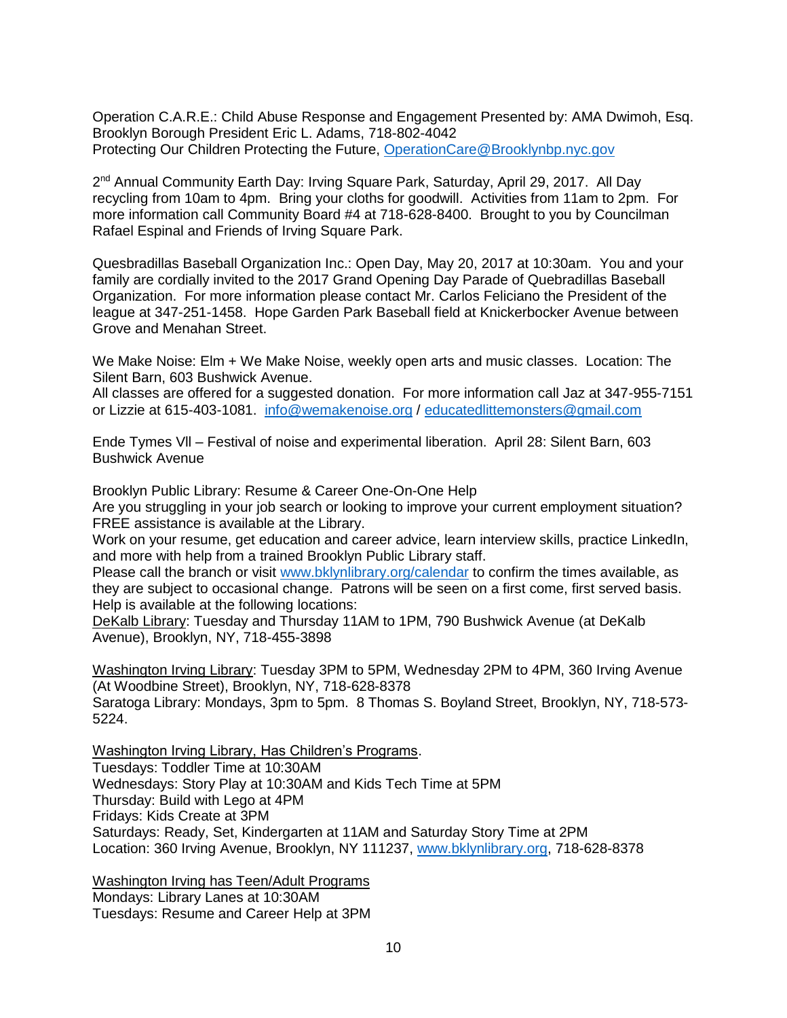Operation C.A.R.E.: Child Abuse Response and Engagement Presented by: AMA Dwimoh, Esq. Brooklyn Borough President Eric L. Adams, 718-802-4042 Protecting Our Children Protecting the Future, [OperationCare@Brooklynbp.nyc.gov](mailto:OperationCare@Brooklynbp.nyc.gov)

2<sup>nd</sup> Annual Community Earth Day: Irving Square Park, Saturday, April 29, 2017. All Day recycling from 10am to 4pm. Bring your cloths for goodwill. Activities from 11am to 2pm. For more information call Community Board #4 at 718-628-8400. Brought to you by Councilman Rafael Espinal and Friends of Irving Square Park.

Quesbradillas Baseball Organization Inc.: Open Day, May 20, 2017 at 10:30am. You and your family are cordially invited to the 2017 Grand Opening Day Parade of Quebradillas Baseball Organization. For more information please contact Mr. Carlos Feliciano the President of the league at 347-251-1458. Hope Garden Park Baseball field at Knickerbocker Avenue between Grove and Menahan Street.

We Make Noise: Elm + We Make Noise, weekly open arts and music classes. Location: The Silent Barn, 603 Bushwick Avenue.

All classes are offered for a suggested donation. For more information call Jaz at 347-955-7151 or Lizzie at 615-403-1081. [info@wemakenoise.org](mailto:info@wemakenoise.org) / [educatedlittemonsters@gmail.com](mailto:educatedlittemonsters@gmail.com)

Ende Tymes Vll – Festival of noise and experimental liberation. April 28: Silent Barn, 603 Bushwick Avenue

Brooklyn Public Library: Resume & Career One-On-One Help

Are you struggling in your job search or looking to improve your current employment situation? FREE assistance is available at the Library.

Work on your resume, get education and career advice, learn interview skills, practice LinkedIn, and more with help from a trained Brooklyn Public Library staff.

Please call the branch or visit [www.bklynlibrary.org/calendar](http://www.bklynlibrary.org/calendar) to confirm the times available, as they are subject to occasional change. Patrons will be seen on a first come, first served basis. Help is available at the following locations:

DeKalb Library: Tuesday and Thursday 11AM to 1PM, 790 Bushwick Avenue (at DeKalb Avenue), Brooklyn, NY, 718-455-3898

Washington Irving Library: Tuesday 3PM to 5PM, Wednesday 2PM to 4PM, 360 Irving Avenue (At Woodbine Street), Brooklyn, NY, 718-628-8378 Saratoga Library: Mondays, 3pm to 5pm. 8 Thomas S. Boyland Street, Brooklyn, NY, 718-573- 5224.

Washington Irving Library, Has Children's Programs. Tuesdays: Toddler Time at 10:30AM Wednesdays: Story Play at 10:30AM and Kids Tech Time at 5PM Thursday: Build with Lego at 4PM Fridays: Kids Create at 3PM Saturdays: Ready, Set, Kindergarten at 11AM and Saturday Story Time at 2PM Location: 360 Irving Avenue, Brooklyn, NY 111237, [www.bklynlibrary.org,](http://www.bklynlibrary.org/) 718-628-8378

Washington Irving has Teen/Adult Programs Mondays: Library Lanes at 10:30AM Tuesdays: Resume and Career Help at 3PM